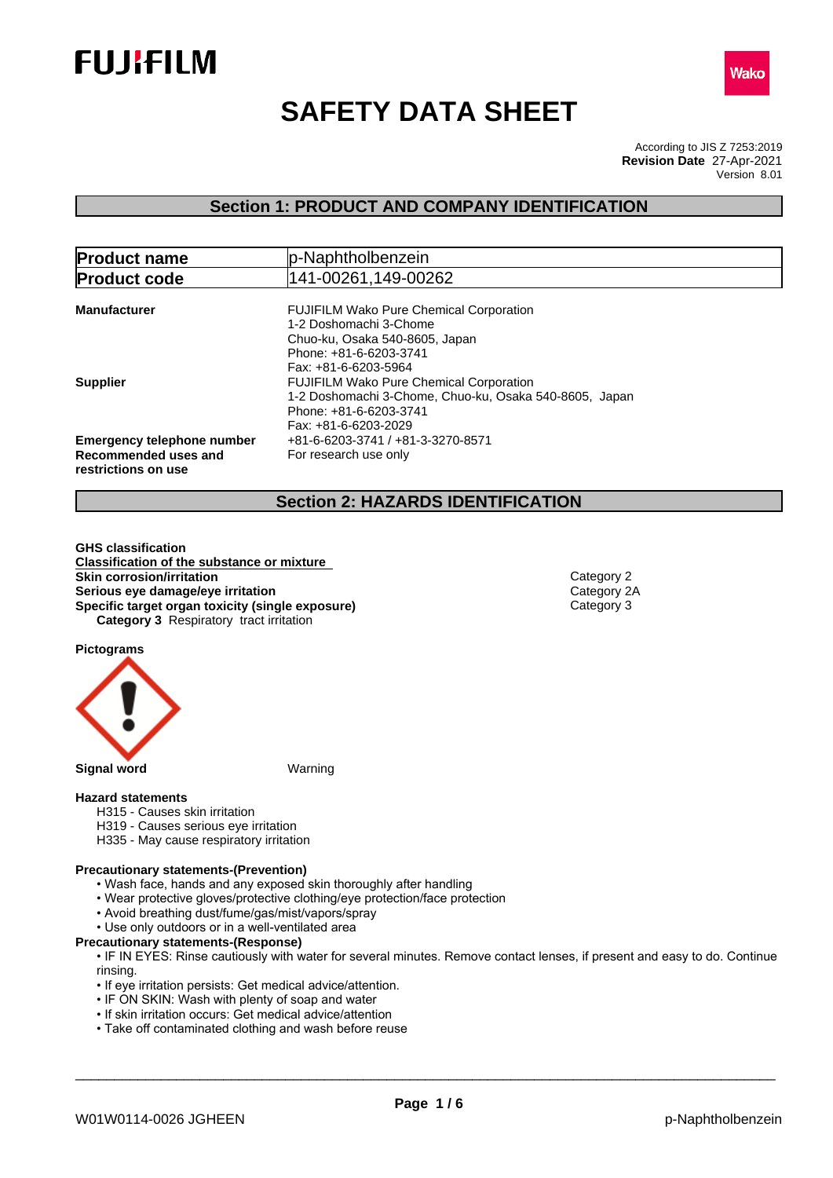



# **SAFETY DATA SHEET**

According to JIS Z 7253:2019 Version 8.01 **Revision Date** 27-Apr-2021

## **Section 1: PRODUCT AND COMPANY IDENTIFICATION**

| <b>Product name</b>                                                              | p-Naphtholbenzein                                                                                                                                          |  |  |
|----------------------------------------------------------------------------------|------------------------------------------------------------------------------------------------------------------------------------------------------------|--|--|
| <b>Product code</b>                                                              | 141-00261,149-00262                                                                                                                                        |  |  |
| <b>Manufacturer</b>                                                              | <b>FUJIFILM Wako Pure Chemical Corporation</b><br>1-2 Doshomachi 3-Chome                                                                                   |  |  |
|                                                                                  | Chuo-ku, Osaka 540-8605, Japan<br>Phone: +81-6-6203-3741<br>Fax: +81-6-6203-5964                                                                           |  |  |
| <b>Supplier</b>                                                                  | <b>FUJIFILM Wako Pure Chemical Corporation</b><br>1-2 Doshomachi 3-Chome, Chuo-ku, Osaka 540-8605, Japan<br>Phone: +81-6-6203-3741<br>Fax: +81-6-6203-2029 |  |  |
| <b>Emergency telephone number</b><br>Recommended uses and<br>restrictions on use | +81-6-6203-3741 / +81-3-3270-8571<br>For research use only                                                                                                 |  |  |

## **Section 2: HAZARDS IDENTIFICATION**

**GHS classification Classification of the substance or mixture Skin corrosion/irritation**<br> **Serious eye damage/eye irritation**<br>
Category 2A **Serious eye damage/eye irritation**<br> **Specific target organ toxicity (single exposure)**<br>
Category 3 **Specific target organ toxicity (single exposure) Category 3** Respiratory tract irritation

**Pictograms**



## **Hazard statements**

- H315 Causes skin irritation
- H319 Causes serious eye irritation
- H335 May cause respiratory irritation

### **Precautionary statements-(Prevention)**

- Wash face, hands and any exposed skin thoroughly after handling
- Wear protective gloves/protective clothing/eye protection/face protection
- Avoid breathing dust/fume/gas/mist/vapors/spray
- Use only outdoors or in a well-ventilated area
- **Precautionary statements-(Response)**

• IF IN EYES: Rinse cautiously with water for several minutes. Remove contact lenses, if present and easy to do. Continue rinsing.

- If eye irritation persists: Get medical advice/attention.
- IF ON SKIN: Wash with plenty of soap and water
- If skin irritation occurs: Get medical advice/attention
- Take off contaminated clothing and wash before reuse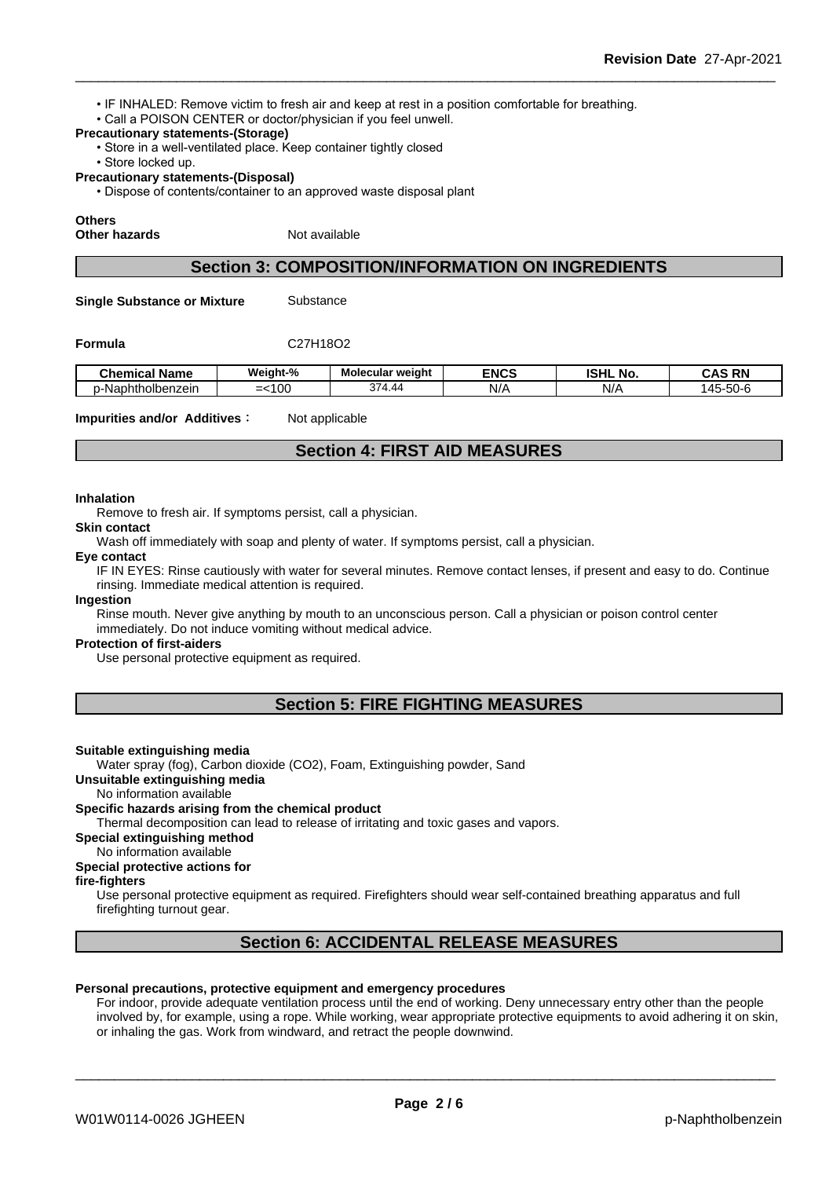- IF INHALED: Remove victim to fresh air and keep at rest in a position comfortable for breathing.
- Call a POISON CENTER or doctor/physician if you feel unwell.

## **Precautionary statements-(Storage)**

- Store in a well-ventilated place. Keep container tightly closed
- Store locked up.
- **Precautionary statements-(Disposal)**
	- Dispose of contents/container to an approved waste disposal plant

## **Others**

**Other hazards** Not available

## **Section 3: COMPOSITION/INFORMATION ON INGREDIENTS**

**Single Substance or Mixture** Substance

## **Formula** C27H18O2

| Chemical<br>' Name | Weight-%                  | Molecular weight                      | <b>ENCS</b> | <b>ISHL</b><br>. .<br>No | <b>RN</b><br>$\sim$<br>.              |
|--------------------|---------------------------|---------------------------------------|-------------|--------------------------|---------------------------------------|
| p-Naphtholbenzein  | $\sim$<br>1 U U<br>-<br>- | 374<br>$\overline{\phantom{a}}$<br>᠇… | NI/A        | N/t                      | $-1$<br>$\Lambda$ $\Gamma$<br>.<br>ືບ |

**Impurities and/or Additives:** Not applicable

## **Section 4: FIRST AID MEASURES**

#### **Inhalation**

Remove to fresh air. If symptoms persist, call a physician.

**Skin contact**

Wash off immediately with soap and plenty of water. If symptoms persist, call a physician.

#### **Eye contact**

IF IN EYES: Rinse cautiously with water for several minutes. Remove contact lenses, if present and easy to do. Continue rinsing. Immediate medical attention is required.

#### **Ingestion**

Rinse mouth. Never give anything by mouth to an unconscious person. Call a physician or poison control center immediately. Do not induce vomiting without medical advice.

#### **Protection of first-aiders**

Use personal protective equipment as required.

## **Section 5: FIRE FIGHTING MEASURES**

### **Suitable extinguishing media**

Water spray (fog), Carbon dioxide (CO2), Foam, Extinguishing powder, Sand

**Unsuitable extinguishing media**

No information available

## **Specific hazards arising from the chemical product**

Thermal decomposition can lead to release of irritating and toxic gases and vapors.

**Special extinguishing method**

### No information available

#### **Special protective actions for**

### **fire-fighters**

Use personal protective equipment as required.Firefighters should wear self-contained breathing apparatus and full firefighting turnout gear.

## **Section 6: ACCIDENTAL RELEASE MEASURES**

### **Personal precautions, protective equipment and emergency procedures**

For indoor, provide adequate ventilation process until the end of working. Deny unnecessary entry other than the people involved by, for example, using a rope. While working, wear appropriate protective equipments to avoid adhering it on skin, or inhaling the gas. Work from windward, and retract the people downwind.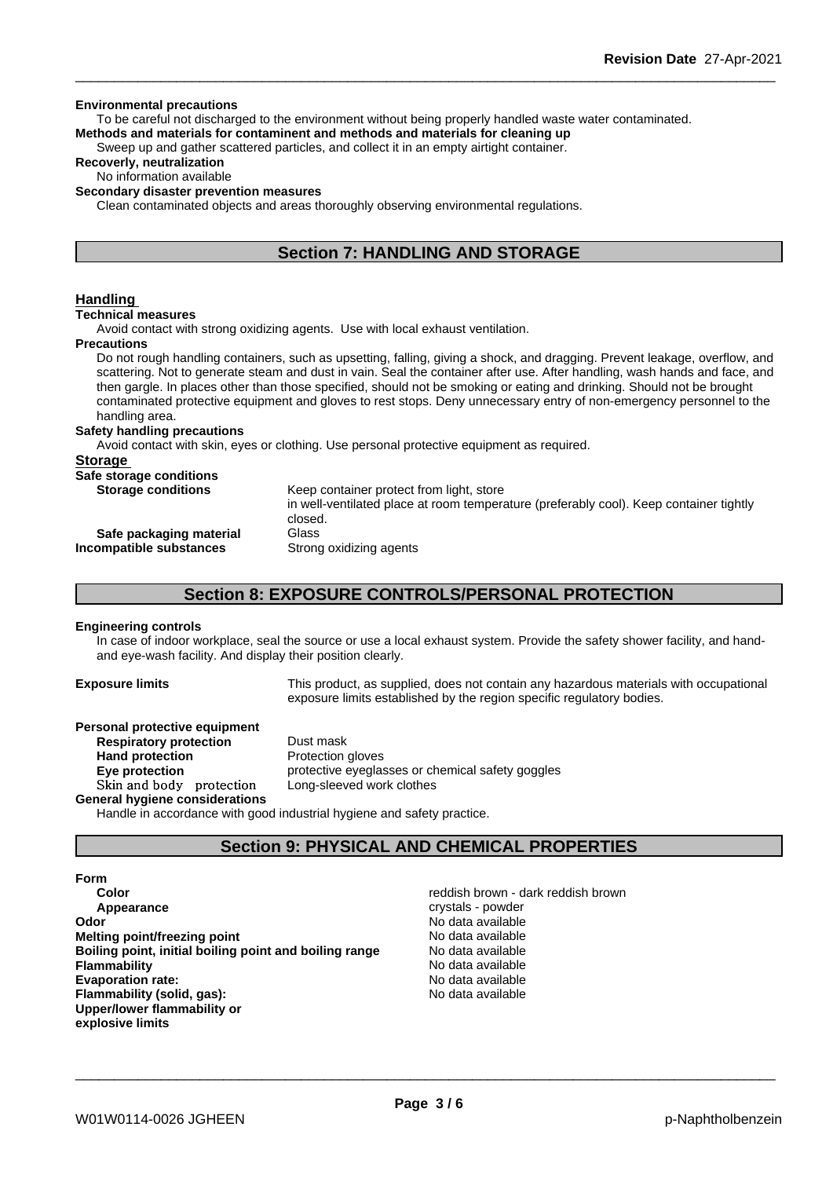#### **Environmental precautions**

To be careful not discharged to the environment without being properly handled waste water contaminated. **Methods and materials for contaminent and methods and materials for cleaning up**

Sweep up and gather scattered particles, and collect it in an empty airtight container.

## **Recoverly, neutralization**

## No information available

## **Secondary disaster prevention measures**

Clean contaminated objects and areas thoroughly observing environmental regulations.

## **Section 7: HANDLING AND STORAGE**

## **Handling**

#### **Technical measures**

Avoid contact with strong oxidizing agents. Use with local exhaust ventilation.

#### **Precautions**

Do not rough handling containers, such as upsetting, falling, giving a shock, and dragging. Prevent leakage, overflow, and scattering. Not to generate steam and dust in vain. Seal the container after use. After handling, wash hands and face, and then gargle. In places other than those specified, should not be smoking or eating and drinking. Should not be brought contaminated protective equipment and gloves to rest stops. Deny unnecessary entry of non-emergency personnel to the handling area.

#### **Safety handling precautions**

Avoid contact with skin, eyes or clothing. Use personal protective equipment as required.

| Keep container protect from light, store                                                          |
|---------------------------------------------------------------------------------------------------|
| in well-ventilated place at room temperature (preferably cool). Keep container tightly<br>closed. |
| Glass                                                                                             |
| Strong oxidizing agents                                                                           |
|                                                                                                   |

## **Section 8: EXPOSURE CONTROLS/PERSONAL PROTECTION**

### **Engineering controls**

In case of indoor workplace, seal the source or use a local exhaust system. Provide the safety shower facility, and handand eye-wash facility. And display their position clearly.

**Exposure limits** This product, as supplied, does not contain any hazardous materials with occupational exposure limits established by the region specific regulatory bodies.

## **Personal protective equipment**

**Respiratory protection** Dust mask **Hand protection** Protection gloves **Eye protection Eye protective** eyeglasses or chemical safety goggles **Skinandbody protection** Long-sleeved work clothes

**General hygiene considerations** Handle in accordance with good industrial hygiene and safety practice.

## **Section 9: PHYSICAL AND CHEMICAL PROPERTIES**

**Form Color Color Color Color Reddish brown - dark reddish brown Appearance** crystals - powder **Odor** No data available **Melting point/freezing point No data available Boiling point, initial boiling point and boiling range** No data available **Flammability** No data available **Evaporation rate:** No data available **Flammability (solid, gas):** No data available **Upper/lower flammability or explosive limits**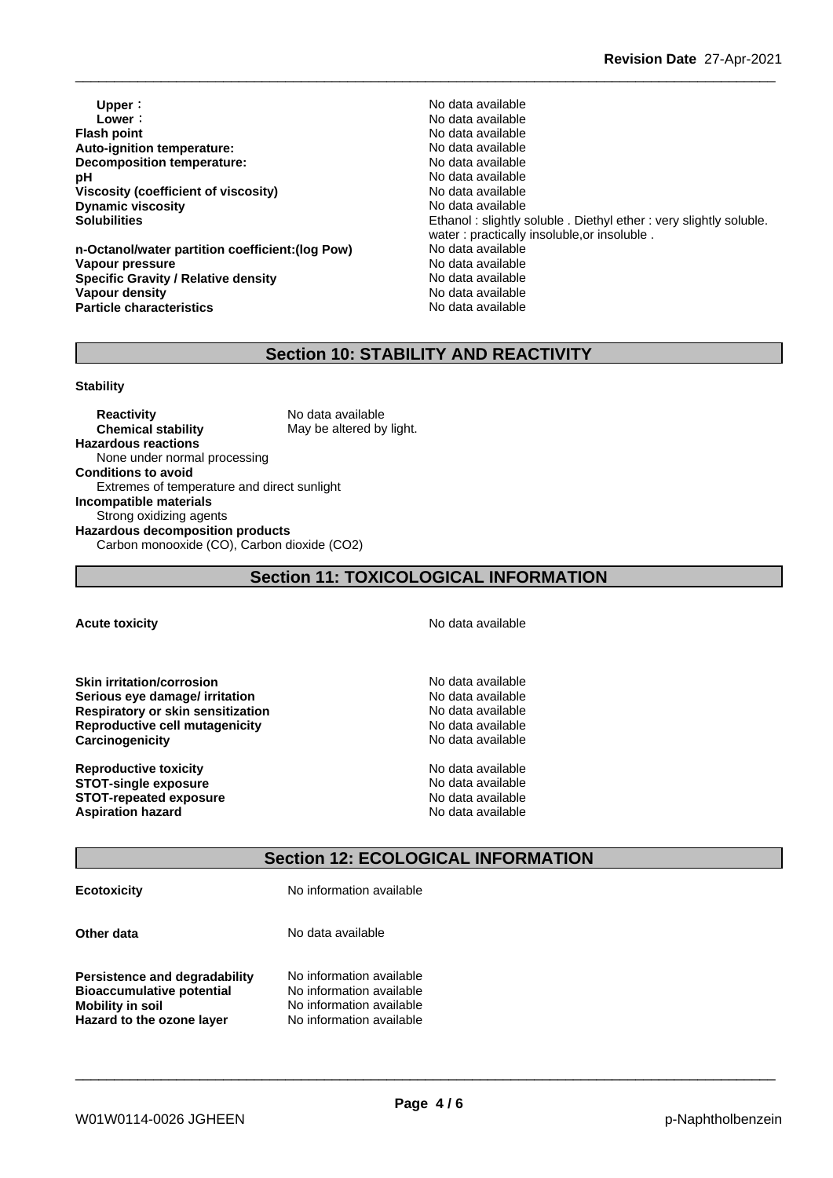**Upper :**  $\begin{array}{ccc} \hline \textbf{Upper} & \textbf{Non-1} \\ \hline \end{array}$  No data available **Lower** : **Lower** : **Constant Constant Constant Constant Constant Constant Constant Constant Constant Constant Constant Constant Constant Constant Constant Constant Constant Constant Constant Constant Constant Constant Con Auto-ignition temperature:**  $\qquad \qquad \qquad$  No data available<br> **Decomposition temperature:** No data available **Decomposition temperature: pH** No data available **Viscosity (coefficient of viscosity)** No data available<br> **Dynamic viscosity** No data available **Dynamic viscosity** 

**n-Octanol/water partition coefficient:(log Pow) No data available Vapour pressure** No data available **Specific Gravity / Relative density** No data available **Vapour density No data available Particle characteristics** No data available

**Flash point** No data available **Solubilities** Ethanol : slightly soluble . Diethyl ether : very slightly soluble. water : practically insoluble,or insoluble .

## **Section 10: STABILITY AND REACTIVITY**

### **Stability**

**Reactivity** No data available **Chemical stability** May be altered by light. **Hazardous reactions** None under normal processing **Conditions to avoid** Extremes of temperature and direct sunlight **Incompatible materials** Strong oxidizing agents **Hazardous decomposition products** Carbon monooxide (CO), Carbon dioxide (CO2)

## **Section 11: TOXICOLOGICAL INFORMATION**

## **Acute toxicity Acute toxicity Acute has a structure in the structure of**  $\mathbb{R}^n$  **No data available**

**Skin irritation/corrosion**<br> **Serious eve damage/ irritation**<br> **Serious eve damage/ irritation Serious eye damage/ irritation**<br> **Respiratory or skin sensitization**<br> **Respiratory or skin sensitization Respiratory** or skin sensitization **Reproductive cell mutagenicity** No data available **Carcinogenicity Carcinogenicity Carcinogenicity No data available** 

**Reproductive toxicity No data available** No data available **STOT-single exposure**<br> **STOT-repeated exposure**<br> **STOT-repeated exposure STOT-repeated exposure Aspiration hazard** No data available

\_\_\_\_\_\_\_\_\_\_\_\_\_\_\_\_\_\_\_\_\_\_\_\_\_\_\_\_\_\_\_\_\_\_\_\_\_\_\_\_\_\_\_\_\_\_\_\_\_\_\_\_\_\_\_\_\_\_\_\_\_\_\_\_\_\_\_\_\_\_\_\_\_\_\_\_\_\_\_\_\_\_\_\_\_\_\_\_\_\_

## **Section 12: ECOLOGICAL INFORMATION**

**Ecotoxicity** No information available

**Other data** No data available

**Persistence and degradability** No information available<br>**Bioaccumulative potential** No information available **Bioaccumulative potential<br>Mobility in soil Hazard to the ozone layer** No information available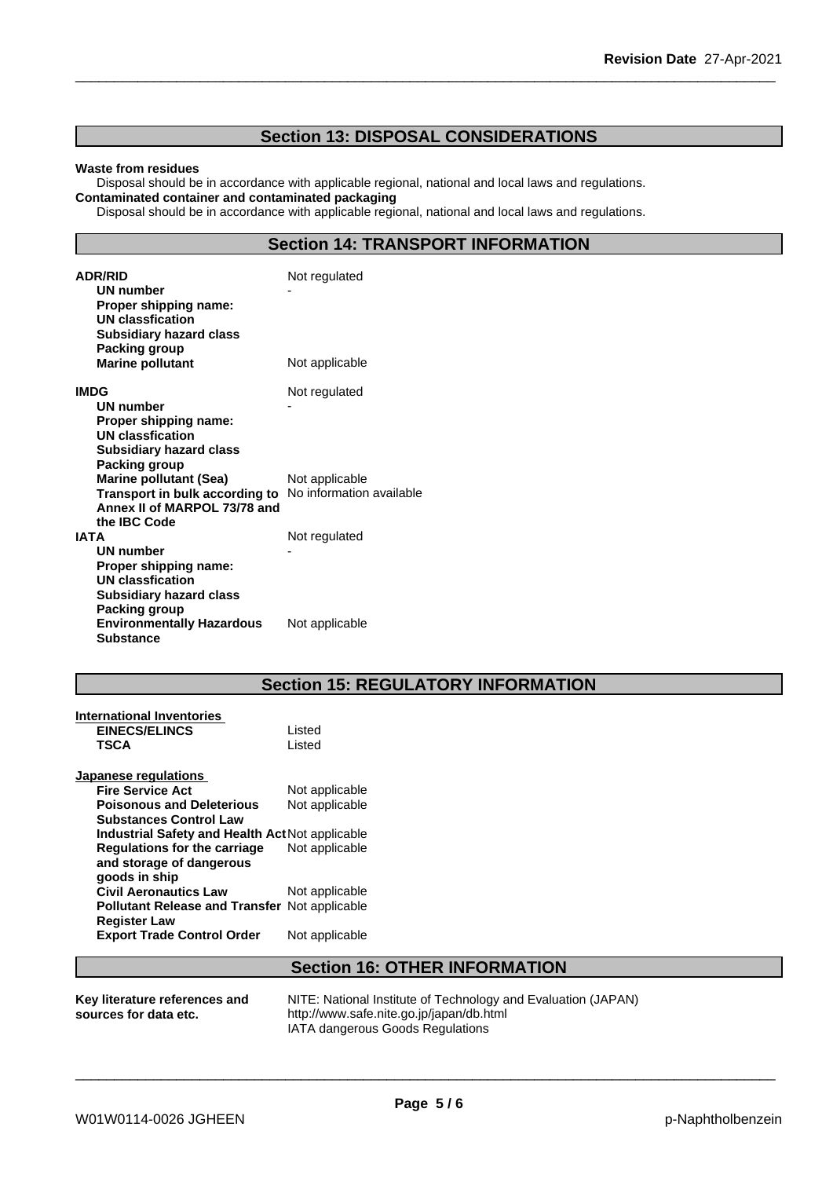## **Section 13: DISPOSAL CONSIDERATIONS**

#### **Waste from residues**

Disposal should be in accordance with applicable regional, national and local laws and regulations. **Contaminated container and contaminated packaging**

Disposal should be in accordance with applicable regional, national and local laws and regulations.

## **Section 14: TRANSPORT INFORMATION**

| <b>ADR/RID</b><br>UN number<br>Proper shipping name:<br><b>UN classfication</b><br><b>Subsidiary hazard class</b>                                         | Not regulated  |
|-----------------------------------------------------------------------------------------------------------------------------------------------------------|----------------|
| Packing group<br><b>Marine pollutant</b>                                                                                                                  | Not applicable |
| IMDG<br><b>UN number</b><br>Proper shipping name:<br><b>UN classfication</b><br><b>Subsidiary hazard class</b>                                            | Not regulated  |
| Packing group<br><b>Marine pollutant (Sea)</b><br>Transport in bulk according to No information available<br>Annex II of MARPOL 73/78 and<br>the IBC Code | Not applicable |
| <b>IATA</b><br><b>UN number</b><br>Proper shipping name:<br>UN classfication<br><b>Subsidiary hazard class</b><br>Packing group                           | Not regulated  |
| <b>Environmentally Hazardous</b><br><b>Substance</b>                                                                                                      | Not applicable |

## **Section 15: REGULATORY INFORMATION**

| International Inventories<br><b>EINECS/ELINCS</b><br>TSCA | Listed<br>Listed |
|-----------------------------------------------------------|------------------|
| Japanese regulations                                      |                  |
| <b>Fire Service Act</b>                                   | Not applicable   |
| <b>Poisonous and Deleterious</b>                          | Not applicable   |
| <b>Substances Control Law</b>                             |                  |
| Industrial Safety and Health Act Not applicable           |                  |
| <b>Regulations for the carriage</b>                       | Not applicable   |
| and storage of dangerous                                  |                  |
| goods in ship                                             |                  |
| <b>Civil Aeronautics Law</b>                              | Not applicable   |
| <b>Pollutant Release and Transfer Not applicable</b>      |                  |
| <b>Register Law</b>                                       |                  |
| <b>Export Trade Control Order</b>                         | Not applicable   |
|                                                           |                  |

## **Section 16: OTHER INFORMATION**

| Key literature references and | NITE: National Institute of Technology and Evaluation (JAPAN) |
|-------------------------------|---------------------------------------------------------------|
| sources for data etc.         | http://www.safe.nite.go.jp/japan/db.html                      |
|                               | IATA dangerous Goods Regulations                              |